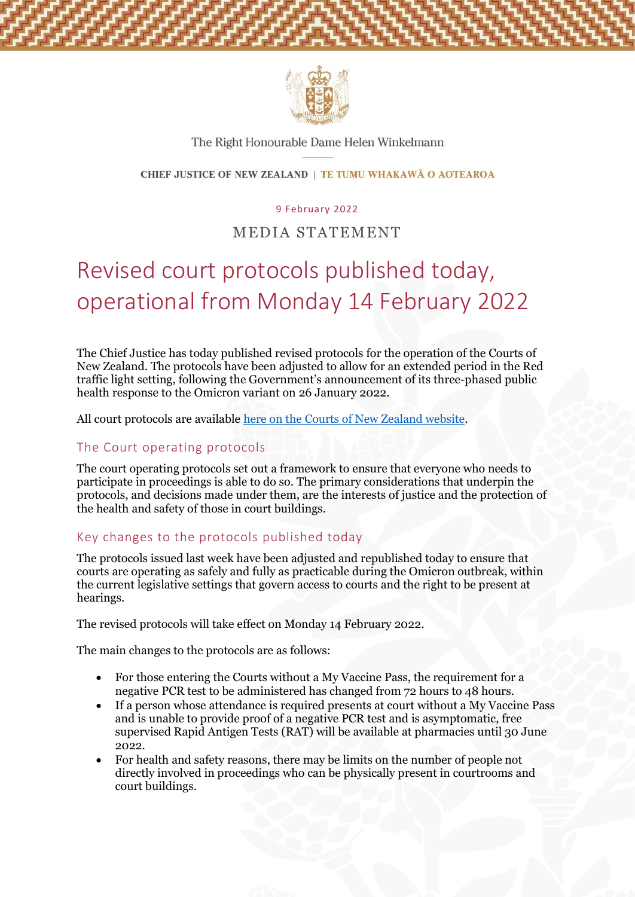

## The Right Honourable Dame Helen Winkelmann

### CHIEF JUSTICE OF NEW ZEALAND | TE TUMU WHAKAWĀ O AOTEAROA

#### 9 February 2022

# MEDIA STATEMENT

# Revised court protocols published today, operational from Monday 14 February 2022

The Chief Justice has today published revised protocols for the operation of the Courts of New Zealand. The protocols have been adjusted to allow for an extended period in the Red traffic light setting, following the Government's announcement of its three-phased public health response to the Omicron variant on 26 January 2022.

All court protocols are available [here on the Courts of New Zealand website.](https://www.courtsofnz.govt.nz/publications/announcements/covid-19/court-protocols/high-court/)

## The Court operating protocols

The court operating protocols set out a framework to ensure that everyone who needs to participate in proceedings is able to do so. The primary considerations that underpin the protocols, and decisions made under them, are the interests of justice and the protection of the health and safety of those in court buildings.

# Key changes to the protocols published today

The protocols issued last week have been adjusted and republished today to ensure that courts are operating as safely and fully as practicable during the Omicron outbreak, within the current legislative settings that govern access to courts and the right to be present at hearings.

The revised protocols will take effect on Monday 14 February 2022.

The main changes to the protocols are as follows:

- For those entering the Courts without a My Vaccine Pass, the requirement for a negative PCR test to be administered has changed from 72 hours to 48 hours.
- If a person whose attendance is required presents at court without a My Vaccine Pass and is unable to provide proof of a negative PCR test and is asymptomatic, free supervised Rapid Antigen Tests (RAT) will be available at pharmacies until 30 June 2022.
- For health and safety reasons, there may be limits on the number of people not directly involved in proceedings who can be physically present in courtrooms and court buildings.